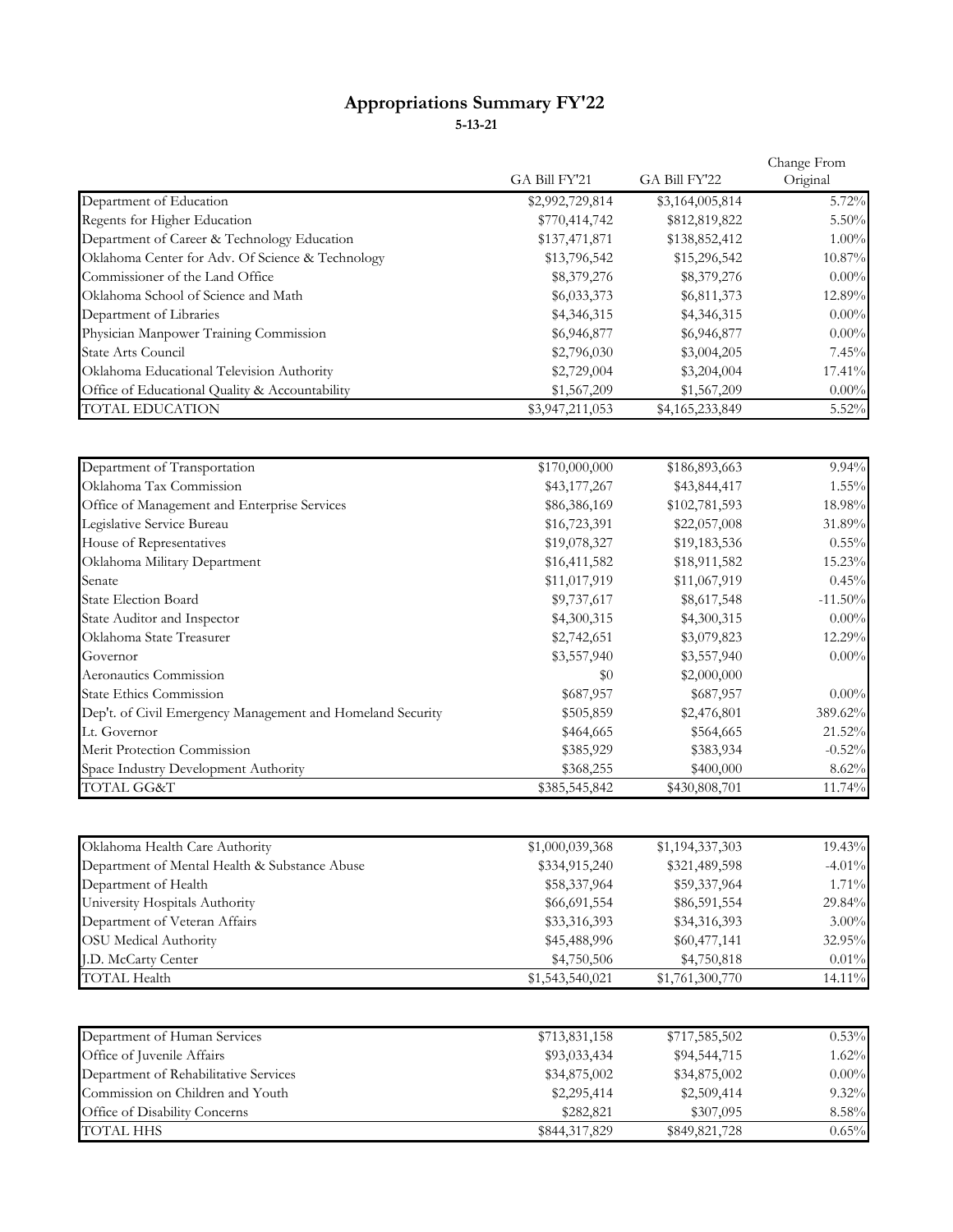## **Appropriations Summary FY'22 5-13-21**

|                                                  | GA Bill FY'21   | GA Bill FY'22   | Change From<br>Original |
|--------------------------------------------------|-----------------|-----------------|-------------------------|
|                                                  |                 |                 |                         |
| Department of Education                          | \$2,992,729,814 | \$3,164,005,814 | 5.72%                   |
| Regents for Higher Education                     | \$770,414,742   | \$812,819,822   | 5.50%                   |
| Department of Career & Technology Education      | \$137,471,871   | \$138,852,412   | $1.00\%$                |
| Oklahoma Center for Adv. Of Science & Technology | \$13,796,542    | \$15,296,542    | 10.87%                  |
| Commissioner of the Land Office                  | \$8,379,276     | \$8,379,276     | $0.00\%$                |
| Oklahoma School of Science and Math              | \$6,033,373     | \$6,811,373     | 12.89%                  |
| Department of Libraries                          | \$4,346,315     | \$4,346,315     | $0.00\%$                |
| Physician Manpower Training Commission           | \$6,946,877     | \$6,946,877     | $0.00\%$                |
| State Arts Council                               | \$2,796,030     | \$3,004,205     | 7.45%                   |
| Oklahoma Educational Television Authority        | \$2,729,004     | \$3,204,004     | 17.41%                  |
| Office of Educational Quality & Accountability   | \$1,567,209     | \$1,567,209     | $0.00\%$                |
| <b>TOTAL EDUCATION</b>                           | \$3,947,211,053 | \$4,165,233,849 | 5.52%                   |

| Department of Transportation                               | \$170,000,000 | \$186,893,663 | 9.94%      |
|------------------------------------------------------------|---------------|---------------|------------|
| Oklahoma Tax Commission                                    | \$43,177,267  | \$43,844,417  | $1.55\%$   |
| Office of Management and Enterprise Services               | \$86,386,169  | \$102,781,593 | 18.98%     |
| Legislative Service Bureau                                 | \$16,723,391  | \$22,057,008  | 31.89%     |
| House of Representatives                                   | \$19,078,327  | \$19,183,536  | $0.55\%$   |
| Oklahoma Military Department                               | \$16,411,582  | \$18,911,582  | 15.23%     |
| Senate                                                     | \$11,017,919  | \$11,067,919  | 0.45%      |
| <b>State Election Board</b>                                | \$9,737,617   | \$8,617,548   | $-11.50\%$ |
| State Auditor and Inspector                                | \$4,300,315   | \$4,300,315   | $0.00\%$   |
| Oklahoma State Treasurer                                   | \$2,742,651   | \$3,079,823   | 12.29%     |
| Governor                                                   | \$3,557,940   | \$3,557,940   | $0.00\%$   |
| Aeronautics Commission                                     | \$0           | \$2,000,000   |            |
| <b>State Ethics Commission</b>                             | \$687,957     | \$687,957     | $0.00\%$   |
| Dep't. of Civil Emergency Management and Homeland Security | \$505,859     | \$2,476,801   | 389.62%    |
| Lt. Governor                                               | \$464,665     | \$564,665     | 21.52%     |
| Merit Protection Commission                                | \$385,929     | \$383,934     | $-0.52%$   |
| Space Industry Development Authority                       | \$368,255     | \$400,000     | $8.62\%$   |
| TOTAL GG&T                                                 | \$385,545,842 | \$430,808,701 | 11.74%     |

| Oklahoma Health Care Authority                | \$1,000,039,368 | \$1,194,337,303 | 19.43%   |
|-----------------------------------------------|-----------------|-----------------|----------|
| Department of Mental Health & Substance Abuse | \$334,915,240   | \$321,489,598   | $-4.01%$ |
| Department of Health                          | \$58,337,964    | \$59,337,964    | 1.71%    |
| University Hospitals Authority                | \$66,691,554    | \$86,591,554    | 29.84%   |
| Department of Veteran Affairs                 | \$33,316,393    | \$34,316,393    | $3.00\%$ |
| <b>OSU</b> Medical Authority                  | \$45,488,996    | \$60,477,141    | 32.95%   |
| <b>I.D. McCarty Center</b>                    | \$4,750,506     | \$4,750,818     | $0.01\%$ |
| <b>TOTAL Health</b>                           | \$1,543,540,021 | \$1,761,300,770 | 14.11%   |

| Department of Human Services          | \$713,831,158 | \$717,585,502 | 0.53%    |
|---------------------------------------|---------------|---------------|----------|
| Office of Juvenile Affairs            | \$93,033,434  | \$94,544,715  | $1.62\%$ |
| Department of Rehabilitative Services | \$34,875,002  | \$34,875,002  | $0.00\%$ |
| Commission on Children and Youth      | \$2,295,414   | \$2,509,414   | $9.32\%$ |
| Office of Disability Concerns         | \$282,821     | \$307,095     | 8.58%    |
| TOTAL HHS                             | \$844,317,829 | \$849,821,728 | $0.65\%$ |